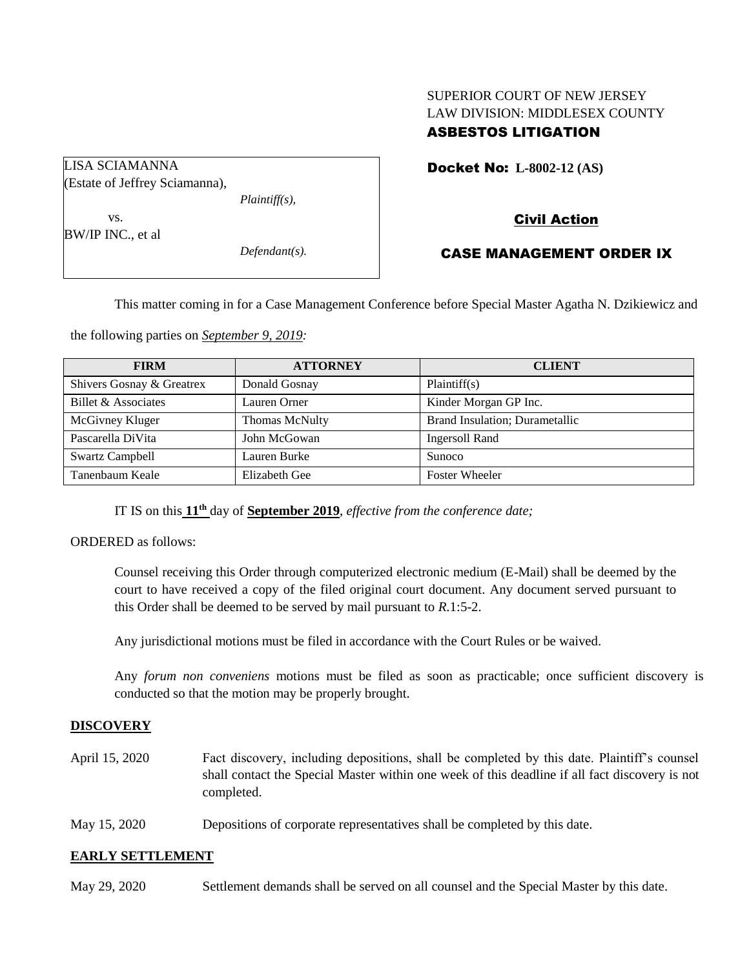# SUPERIOR COURT OF NEW JERSEY LAW DIVISION: MIDDLESEX COUNTY ASBESTOS LITIGATION

Docket No: **L-8002-12 (AS)** 

Civil Action

CASE MANAGEMENT ORDER IX

This matter coming in for a Case Management Conference before Special Master Agatha N. Dzikiewicz and

the following parties on *September 9, 2019:*

| <b>FIRM</b>               | <b>ATTORNEY</b> | <b>CLIENT</b>                          |
|---------------------------|-----------------|----------------------------------------|
| Shivers Gosnay & Greatrex | Donald Gosnay   | Plaintiff(s)                           |
| Billet & Associates       | Lauren Orner    | Kinder Morgan GP Inc.                  |
| McGivney Kluger           | Thomas McNulty  | <b>Brand Insulation</b> ; Durametallic |
| Pascarella DiVita         | John McGowan    | <b>Ingersoll Rand</b>                  |
| <b>Swartz Campbell</b>    | Lauren Burke    | <b>Sunoco</b>                          |
| Tanenbaum Keale           | Elizabeth Gee   | <b>Foster Wheeler</b>                  |

IT IS on this **11 th** day of **September 2019**, *effective from the conference date;*

ORDERED as follows:

Counsel receiving this Order through computerized electronic medium (E-Mail) shall be deemed by the court to have received a copy of the filed original court document. Any document served pursuant to this Order shall be deemed to be served by mail pursuant to *R*.1:5-2.

Any jurisdictional motions must be filed in accordance with the Court Rules or be waived.

Any *forum non conveniens* motions must be filed as soon as practicable; once sufficient discovery is conducted so that the motion may be properly brought.

# **DISCOVERY**

- April 15, 2020 Fact discovery, including depositions, shall be completed by this date. Plaintiff's counsel shall contact the Special Master within one week of this deadline if all fact discovery is not completed.
- May 15, 2020 Depositions of corporate representatives shall be completed by this date.

#### **EARLY SETTLEMENT**

May 29, 2020 Settlement demands shall be served on all counsel and the Special Master by this date.

LISA SCIAMANNA (Estate of Jeffrey Sciamanna), *Plaintiff(s),* vs.

BW/IP INC., et al

*Defendant(s).*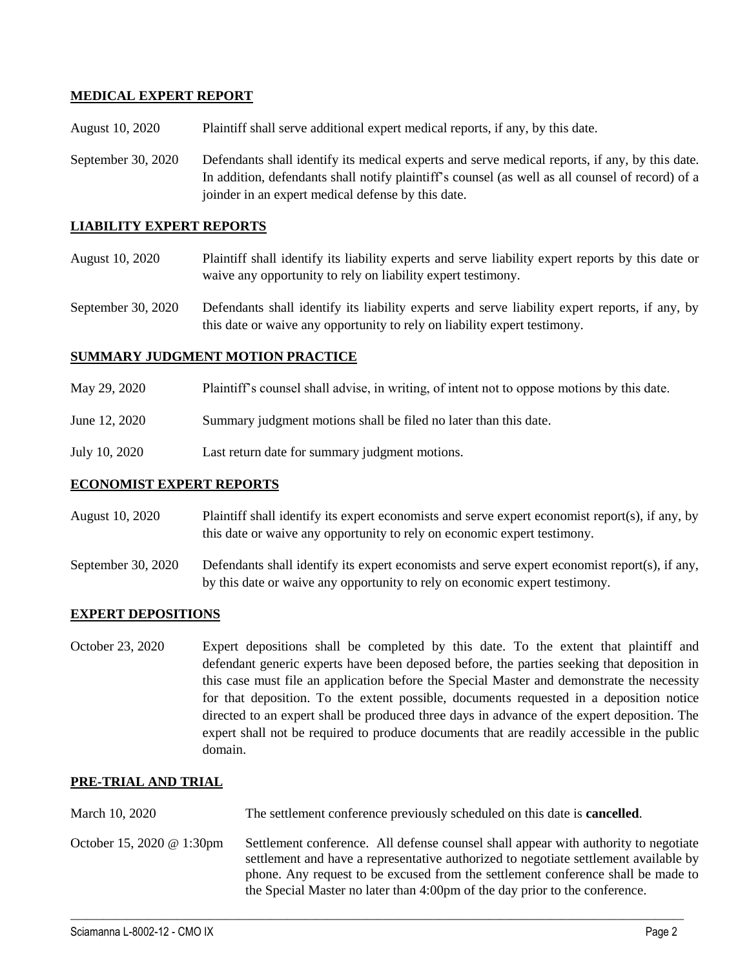# **MEDICAL EXPERT REPORT**

August 10, 2020 Plaintiff shall serve additional expert medical reports, if any, by this date.

September 30, 2020 Defendants shall identify its medical experts and serve medical reports, if any, by this date. In addition, defendants shall notify plaintiff's counsel (as well as all counsel of record) of a joinder in an expert medical defense by this date.

### **LIABILITY EXPERT REPORTS**

- August 10, 2020 Plaintiff shall identify its liability experts and serve liability expert reports by this date or waive any opportunity to rely on liability expert testimony.
- September 30, 2020 Defendants shall identify its liability experts and serve liability expert reports, if any, by this date or waive any opportunity to rely on liability expert testimony.

# **SUMMARY JUDGMENT MOTION PRACTICE**

- May 29, 2020 Plaintiff's counsel shall advise, in writing, of intent not to oppose motions by this date.
- June 12, 2020 Summary judgment motions shall be filed no later than this date.
- July 10, 2020 Last return date for summary judgment motions.

### **ECONOMIST EXPERT REPORTS**

- August 10, 2020 Plaintiff shall identify its expert economists and serve expert economist report(s), if any, by this date or waive any opportunity to rely on economic expert testimony.
- September 30, 2020 Defendants shall identify its expert economists and serve expert economist report(s), if any, by this date or waive any opportunity to rely on economic expert testimony.

#### **EXPERT DEPOSITIONS**

October 23, 2020 Expert depositions shall be completed by this date. To the extent that plaintiff and defendant generic experts have been deposed before, the parties seeking that deposition in this case must file an application before the Special Master and demonstrate the necessity for that deposition. To the extent possible, documents requested in a deposition notice directed to an expert shall be produced three days in advance of the expert deposition. The expert shall not be required to produce documents that are readily accessible in the public domain.

#### **PRE-TRIAL AND TRIAL**

- March 10, 2020 The settlement conference previously scheduled on this date is **cancelled**.
- October 15, 2020 @ 1:30pm Settlement conference. All defense counsel shall appear with authority to negotiate settlement and have a representative authorized to negotiate settlement available by phone. Any request to be excused from the settlement conference shall be made to the Special Master no later than 4:00pm of the day prior to the conference.

 $\_$  , and the set of the set of the set of the set of the set of the set of the set of the set of the set of the set of the set of the set of the set of the set of the set of the set of the set of the set of the set of th